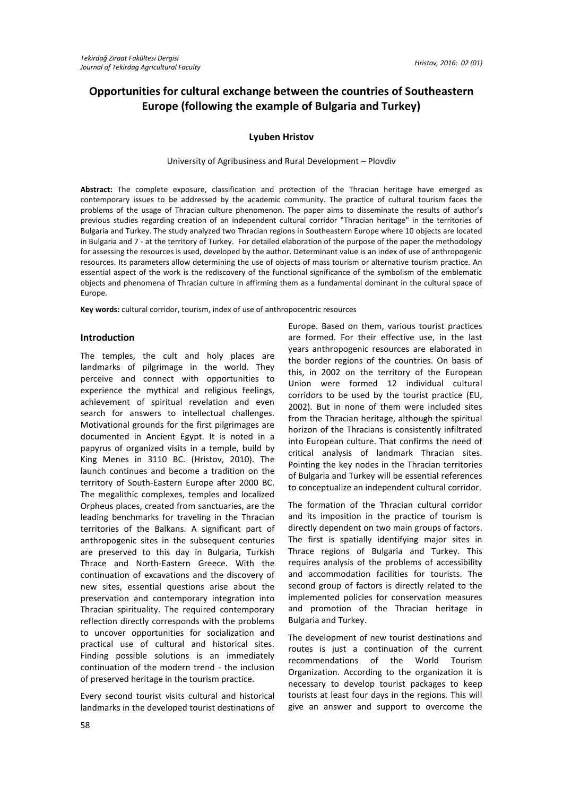# **Opportunities for cultural exchange between the countries of Southeastern Europe (following the example of Bulgaria and Turkey)**

### **Lyuben Hristov**

#### University of Agribusiness and Rural Development – Plovdiv

**Abstract:** The complete exposure, classification and protection of the Thracian heritage have emerged as contemporary issues to be addressed by the academic community. The practice of cultural tourism faces the problems of the usage of Thracian culture phenomenon. The paper aims to disseminate the results of author's previous studies regarding creation of an independent cultural corridor "Thracian heritage" in the territories of Bulgaria and Turkey. The study analyzed two Thracian regions in Southeastern Europe where 10 objects are located in Bulgaria and 7 - at the territory of Turkey. For detailed elaboration of the purpose of the paper the methodology for assessing the resources is used, developed by the author. Determinant value is an index of use of anthropogenic resources. Its parameters allow determining the use of objects of mass tourism or alternative tourism practice. An essential aspect of the work is the rediscovery of the functional significance of the symbolism of the emblematic objects and phenomena of Thracian culture in affirming them as a fundamental dominant in the cultural space of Europe.

**Key words:** cultural corridor, tourism, index of use of anthropocentric resources

#### **Introduction**

The temples, the cult and holy places are landmarks of pilgrimage in the world. They perceive and connect with opportunities to experience the mythical and religious feelings, achievement of spiritual revelation and even search for answers to intellectual challenges. Motivational grounds for the first pilgrimages are documented in Ancient Egypt. It is noted in a papyrus of organized visits in a temple, build by King Menes in 3110 BC. (Hristov, 2010). The launch continues and become a tradition on the territory of South-Eastern Europe after 2000 BC. The megalithic complexes, temples and localized Orpheus places, created from sanctuaries, are the leading benchmarks for traveling in the Thracian territories of the Balkans. A significant part of anthropogenic sites in the subsequent centuries are preserved to this day in Bulgaria, Turkish Thrace and North-Eastern Greece. With the continuation of excavations and the discovery of new sites, essential questions arise about the preservation and contemporary integration into Thracian spirituality. The required contemporary reflection directly corresponds with the problems to uncover opportunities for socialization and practical use of cultural and historical sites. Finding possible solutions is an immediately continuation of the modern trend - the inclusion of preserved heritage in the tourism practice.

Every second tourist visits cultural and historical landmarks in the developed tourist destinations of

Europe. Based on them, various tourist practices are formed. For their effective use, in the last years anthropogenic resources are elaborated in the border regions of the countries. On basis of this, in 2002 on the territory of the European Union were formed 12 individual cultural corridors to be used by the tourist practice (EU, 2002). But in none of them were included sites from the Thracian heritage, although the spiritual horizon of the Thracians is consistently infiltrated into European culture. That confirms the need of critical analysis of landmark Thracian sites. Pointing the key nodes in the Thracian territories of Bulgaria and Turkey will be essential references to conceptualize an independent cultural corridor.

The formation of the Thracian cultural corridor and its imposition in the practice of tourism is directly dependent on two main groups of factors. The first is spatially identifying major sites in Thrace regions of Bulgaria and Turkey. This requires analysis of the problems of accessibility and accommodation facilities for tourists. The second group of factors is directly related to the implemented policies for conservation measures and promotion of the Thracian heritage in Bulgaria and Turkey.

The development of new tourist destinations and routes is just a continuation of the current recommendations of the World Tourism Organization. According to the organization it is necessary to develop tourist packages to keep tourists at least four days in the regions. This will give an answer and support to overcome the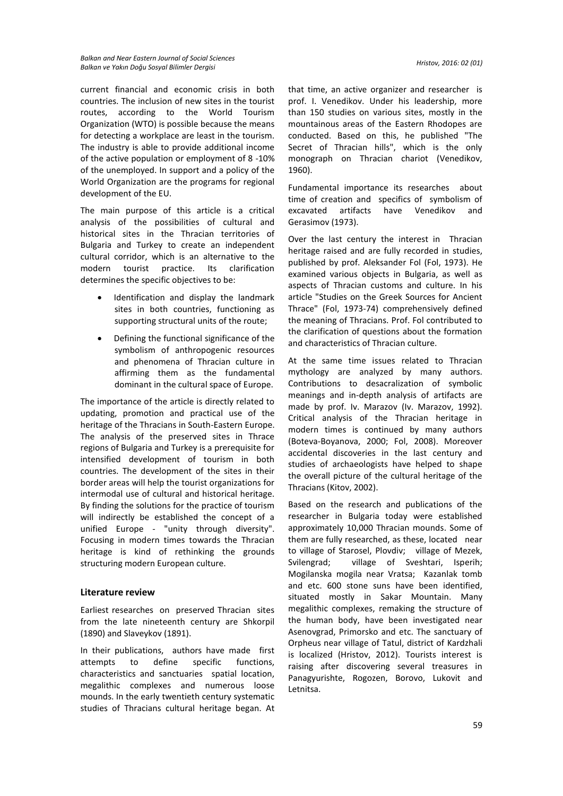current financial and economic crisis in both countries. The inclusion of new sites in the tourist routes, according to the World Tourism Organization (WTO) is possible because the means for detecting a workplace are least in the tourism. The industry is able to provide additional income of the active population or employment of 8 -10% of the unemployed. In support and a policy of the World Organization are the programs for regional development of the EU.

The main purpose of this article is a critical analysis of the possibilities of cultural and historical sites in the Thracian territories of Bulgaria and Turkey to create an independent cultural corridor, which is an alternative to the modern tourist practice. Its clarification determines the specific objectives to be:

- Identification and display the landmark sites in both countries, functioning as supporting structural units of the route;
- Defining the functional significance of the symbolism of anthropogenic resources and phenomena of Thracian culture in affirming them as the fundamental dominant in the cultural space of Europe.

The importance of the article is directly related to updating, promotion and practical use of the heritage of the Thracians in South-Eastern Europe. The analysis of the preserved sites in Thrace regions of Bulgaria and Turkey is a prerequisite for intensified development of tourism in both countries. The development of the sites in their border areas will help the tourist organizations for intermodal use of cultural and historical heritage. By finding the solutions for the practice of tourism will indirectly be established the concept of a unified Europe - "unity through diversity". Focusing in modern times towards the Thracian heritage is kind of rethinking the grounds structuring modern European culture.

### **Literature review**

Earliest researches on preserved Thracian sites from the late nineteenth century are Shkorpil (1890) and Slaveykov (1891).

In their publications, authors have made first attempts to define specific functions, characteristics and sanctuaries spatial location, megalithic complexes and numerous loose mounds. In the early twentieth century systematic studies of Thracians cultural heritage began. At

that time, an active organizer and researcher is prof. I. Venedikov. Under his leadership, more than 150 studies on various sites, mostly in the mountainous areas of the Eastern Rhodopes are conducted. Based on this, he published "The Secret of Thracian hills", which is the only monograph on Thracian chariot (Venedikov, 1960).

Fundamental importance its researches about time of creation and specifics of symbolism of excavated artifacts have Venedikov and Gerasimov (1973).

Over the last century the interest in Thracian heritage raised and are fully recorded in studies, published by prof. Aleksander Fol (Fol, 1973). He examined various objects in Bulgaria, as well as aspects of Thracian customs and culture. In his article "Studies on the Greek Sources for Ancient Thrace" (Fol, 1973-74) comprehensively defined the meaning of Thracians. Prof. Fol contributed to the clarification of questions about the formation and characteristics of Thracian culture.

At the same time issues related to Thracian mythology are analyzed by many authors. Contributions to desacralization of symbolic meanings and in-depth analysis of artifacts are made by prof. Iv. Marazov (Iv. Marazov, 1992). Critical analysis of the Thracian heritage in modern times is continued by many authors (Boteva-Boyanova, 2000; Fol, 2008). Moreover accidental discoveries in the last century and studies of archaeologists have helped to shape the overall picture of the cultural heritage of the Thracians (Kitov, 2002).

Based on the research and publications of the researcher in Bulgaria today were established approximately 10,000 Thracian mounds. Some of them are fully researched, as these, located near to village of Starosel, Plovdiv; village of Mezek, Svilengrad; village of Sveshtari, Isperih; Mogilanska mogila near Vratsa; Kazanlak tomb and etc. 600 stone suns have been identified, situated mostly in Sakar Mountain. Many megalithic complexes, remaking the structure of the human body, have been investigated near Asenovgrad, Primorsko and etc. The sanctuary of Orpheus near village of Tatul, district of Kardzhali is localized (Hristov, 2012). Tourists interest is raising after discovering several treasures in Panagyurishte, Rogozen, Borovo, Lukovit and Letnitsa.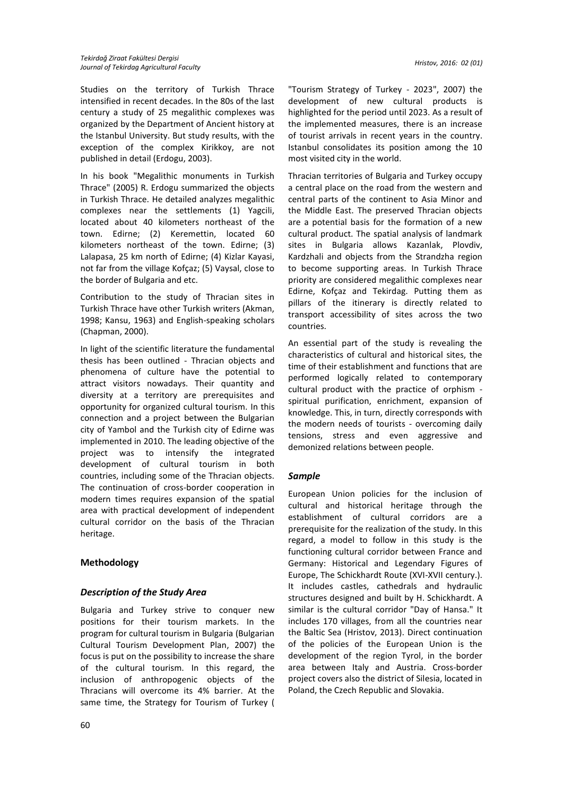Studies on the territory of Turkish Thrace intensified in recent decades. In the 80s of the last century a study of 25 megalithic complexes was organized by the Department of Ancient history at the Istanbul University. But study results, with the exception of the complex Kirikkoy, are not published in detail (Erdogu, 2003).

In his book "Megalithic monuments in Turkish Thrace" (2005) R. Erdogu summarized the objects in Turkish Thrace. He detailed analyzes megalithic complexes near the settlements (1) Yagcili, located about 40 kilometers northeast of the town. Edirne; (2) Keremettin, located 60 kilometers northeast of the town. Edirne; (3) Lalapasa, 25 km north of Edirne; (4) Kizlar Kayasi, not far from the village Kofçaz; (5) Vaysal, close to the border of Bulgaria and etc.

Contribution to the study of Thracian sites in Turkish Thrace have other Turkish writers (Akman, 1998; Kansu, 1963) and English-speaking scholars (Chapman, 2000).

In light of the scientific literature the fundamental thesis has been outlined - Thracian objects and phenomena of culture have the potential to attract visitors nowadays. Their quantity and diversity at a territory are prerequisites and opportunity for organized cultural tourism. In this connection and a project between the Bulgarian city of Yambol and the Turkish city of Edirne was implemented in 2010. The leading objective of the project was to intensify the integrated development of cultural tourism in both countries, including some of the Thracian objects. The continuation of cross-border cooperation in modern times requires expansion of the spatial area with practical development of independent cultural corridor on the basis of the Thracian heritage.

## **Methodology**

### *Description of the Study Area*

Bulgaria and Turkey strive to conquer new positions for their tourism markets. In the program for cultural tourism in Bulgaria (Bulgarian Cultural Tourism Development Plan, 2007) the focus is put on the possibility to increase the share of the cultural tourism. In this regard, the inclusion of anthropogenic objects of the Thracians will overcome its 4% barrier. At the same time, the Strategy for Tourism of Turkey (

"Tourism Strategy of Turkey - 2023", 2007) the development of new cultural products is highlighted for the period until 2023. As a result of the implemented measures, there is an increase of tourist arrivals in recent years in the country. Istanbul consolidates its position among the 10 most visited city in the world.

Thracian territories of Bulgaria and Turkey occupy a central place on the road from the western and central parts of the continent to Asia Minor and the Middle East. The preserved Thracian objects are a potential basis for the formation of a new cultural product. The spatial analysis of landmark sites in Bulgaria allows Kazanlak, Plovdiv, Kardzhali and objects from the Strandzha region to become supporting areas. In Turkish Thrace priority are considered megalithic complexes near Edirne, Kofçaz and Tekirdag. Putting them as pillars of the itinerary is directly related to transport accessibility of sites across the two countries.

An essential part of the study is revealing the characteristics of cultural and historical sites, the time of their establishment and functions that are performed logically related to contemporary cultural product with the practice of orphism spiritual purification, enrichment, expansion of knowledge. This, in turn, directly corresponds with the modern needs of tourists - overcoming daily tensions, stress and even aggressive and demonized relations between people.

### *Sample*

European Union policies for the inclusion of cultural and historical heritage through the establishment of cultural corridors are a prerequisite for the realization of the study. In this regard, a model to follow in this study is the functioning cultural corridor between France and Germany: Historical and Legendary Figures of Europe, The Schickhardt Route (XVI-XVII century.). It includes castles, cathedrals and hydraulic structures designed and built by H. Schickhardt. A similar is the cultural corridor "Day of Hansa." It includes 170 villages, from all the countries near the Baltic Sea (Hristov, 2013). Direct continuation of the policies of the European Union is the development of the region Tyrol, in the border area between Italy and Austria. Cross-border project covers also the district of Silesia, located in Poland, the Czech Republic and Slovakia.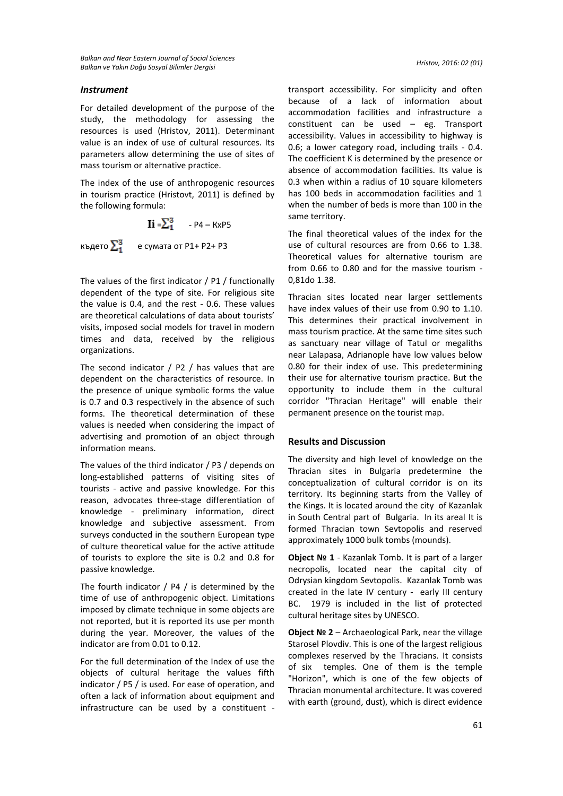#### *Instrument*

For detailed development of the purpose of the study, the methodology for assessing the resources is used (Hristov, 2011). Determinant value is an index of use of cultural resources. Its parameters allow determining the use of sites of mass tourism or alternative practice.

The index of the use of anthropogenic resources in tourism practice (Hristovt, 2011) is defined by the following formula:

 $\mathbf{I}$ **i** =  $\sum_{1}^{3}$  - P4 – KxP5 където  $\Sigma^3$  е сумата от P1+ P2+ P3

The values of the first indicator / P1 / functionally dependent of the type of site. For religious site the value is 0.4, and the rest - 0.6. These values are theoretical calculations of data about tourists' visits, imposed social models for travel in modern times and data, received by the religious organizations.

The second indicator  $/$  P2  $/$  has values that are dependent on the characteristics of resource. In the presence of unique symbolic forms the value is 0.7 and 0.3 respectively in the absence of such forms. The theoretical determination of these values is needed when considering the impact of advertising and promotion of an object through information means.

The values of the third indicator / P3 / depends on long-established patterns of visiting sites of tourists - active and passive knowledge. For this reason, advocates three-stage differentiation of knowledge - preliminary information, direct knowledge and subjective assessment. From surveys conducted in the southern European type of culture theoretical value for the active attitude of tourists to explore the site is 0.2 and 0.8 for passive knowledge.

The fourth indicator / P4 / is determined by the time of use of anthropogenic object. Limitations imposed by climate technique in some objects are not reported, but it is reported its use per month during the year. Moreover, the values of the indicator are from 0.01 to 0.12.

For the full determination of the Index of use the objects of cultural heritage the values fifth indicator / P5 / is used. For ease of operation, and often a lack of information about equipment and infrastructure can be used by a constituent - transport accessibility. For simplicity and often because of a lack of information about accommodation facilities and infrastructure a constituent can be used – eg. Transport accessibility. Values in accessibility to highway is 0.6; a lower category road, including trails - 0.4. The coefficient K is determined by the presence or absence of accommodation facilities. Its value is 0.3 when within a radius of 10 square kilometers has 100 beds in accommodation facilities and 1 when the number of beds is more than 100 in the same territory.

The final theoretical values of the index for the use of cultural resources are from 0.66 to 1.38 Theoretical values for alternative tourism are from 0.66 to 0.80 and for the massive tourism - 0,81do 1.38.

Thracian sites located near larger settlements have index values of their use from 0.90 to 1.10. This determines their practical involvement in mass tourism practice. At the same time sites such as sanctuary near village of Tatul or megaliths near Lalapasa, Adrianople have low values below 0.80 for their index of use. This predetermining their use for alternative tourism practice. But the opportunity to include them in the cultural corridor "Thracian Heritage" will enable their permanent presence on the tourist map.

#### **Results and Discussion**

The diversity and high level of knowledge on the Thracian sites in Bulgaria predetermine the conceptualization of cultural corridor is on its territory. Its beginning starts from the Valley of the Kings. It is located around the city of Kazanlak in South Central part of Bulgaria. In its areal It is formed Thracian town Sevtopolis and reserved approximately 1000 bulk tombs (mounds).

**Object № 1** - Kazanlak Tomb. It is part of a larger necropolis, located near the capital city of Odrysian kingdom Sevtopolis. Kazanlak Tomb was created in the late IV century - early III century BC. 1979 is included in the list of protected cultural heritage sites by UNESCO.

**Object № 2** – Archaeological Park, near the village Starosel Plovdiv. This is one of the largest religious complexes reserved by the Thracians. It consists of six temples. One of them is the temple "Horizon", which is one of the few objects of Thracian monumental architecture. It was covered with earth (ground, dust), which is direct evidence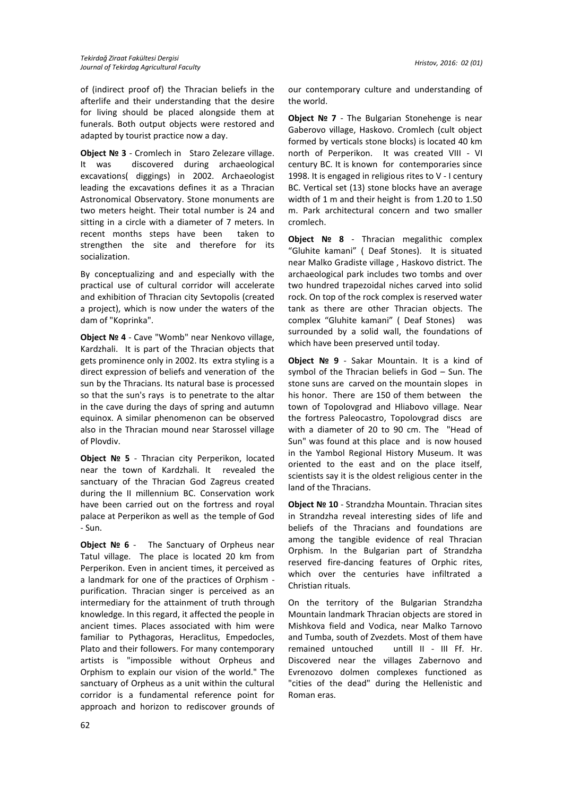of (indirect proof of) the Thracian beliefs in the afterlife and their understanding that the desire for living should be placed alongside them at funerals. Both output objects were restored and adapted by tourist practice now a day.

**Object № 3** - Cromlech in Staro Zelezare village. It was discovered during archaeological excavations( diggings) in 2002. Archaeologist leading the excavations defines it as a Thracian Astronomical Observatory. Stone monuments are two meters height. Their total number is 24 and sitting in a circle with a diameter of 7 meters. In recent months steps have been taken to strengthen the site and therefore for its socialization.

By conceptualizing and and especially with the practical use of cultural corridor will accelerate and exhibition of Thracian city Sevtopolis (created a project), which is now under the waters of the dam of "Koprinka".

**Object № 4** - Cave "Womb" near Nenkovo village, Kardzhali. It is part of the Thracian objects that gets prominence only in 2002. Its extra styling is a direct expression of beliefs and veneration of the sun by the Thracians. Its natural base is processed so that the sun's rays is to penetrate to the altar in the cave during the days of spring and autumn equinox. A similar phenomenon can be observed also in the Thracian mound near Starossel village of Plovdiv.

**Object № 5** - Thracian city Perperikon, located near the town of Kardzhali. It revealed the sanctuary of the Thracian God Zagreus created during the II millennium BC. Conservation work have been carried out on the fortress and royal palace at Perperikon as well as the temple of God - Sun.

**Object № 6** - The Sanctuary of Orpheus near Tatul village. The place is located 20 km from Perperikon. Even in ancient times, it perceived as a landmark for one of the practices of Orphism purification. Thracian singer is perceived as an intermediary for the attainment of truth through knowledge. In this regard, it affected the people in ancient times. Places associated with him were familiar to Pythagoras, Heraclitus, Empedocles, Plato and their followers. For many contemporary artists is "impossible without Orpheus and Orphism to explain our vision of the world." The sanctuary of Orpheus as a unit within the cultural corridor is a fundamental reference point for approach and horizon to rediscover grounds of

our contemporary culture and understanding of the world.

**Object № 7** - The Bulgarian Stonehenge is near Gaberovo village, Haskovo. Cromlech (cult object formed by verticals stone blocks) is located 40 km north of Perperikon. It was created VIII - VI century BC. It is known for contemporaries since 1998. It is engaged in religious rites to V - I century BC. Vertical set (13) stone blocks have an average width of 1 m and their height is from 1.20 to 1.50 m. Park architectural concern and two smaller cromlech.

**Object № 8** - Thracian megalithic complex "Gluhite kamani" ( Deaf Stones). It is situated near Malko Gradiste village , Haskovo district. The archaeological park includes two tombs and over two hundred trapezoidal niches carved into solid rock. On top of the rock complex is reserved water tank as there are other Thracian objects. The complex "Gluhite kamani" ( Deaf Stones) was surrounded by a solid wall, the foundations of which have been preserved until today.

**Object № 9** - Sakar Mountain. It is a kind of symbol of the Thracian beliefs in God – Sun. The stone suns are carved on the mountain slopes in his honor. There are 150 of them between the town of Topolovgrad and Hliabovo village. Near the fortress Paleocastro, Topolovgrad discs are with a diameter of 20 to 90 cm. The "Head of Sun" was found at this place and is now housed in the Yambol Regional History Museum. It was oriented to the east and on the place itself, scientists say it is the oldest religious center in the land of the Thracians.

**Object № 10** - Strandzha Mountain. Thracian sites in Strandzha reveal interesting sides of life and beliefs of the Thracians and foundations are among the tangible evidence of real Thracian Orphism. In the Bulgarian part of Strandzha reserved fire-dancing features of Orphic rites, which over the centuries have infiltrated a Christian rituals.

On the territory of the Bulgarian Strandzha Mountain landmark Thracian objects are stored in Mishkova field and Vodica, near Malko Tarnovo and Tumba, south of Zvezdets. Most of them have remained untouched untill II - III Ff. Hr. Discovered near the villages Zabernovo and Evrenozovo dolmen complexes functioned as "cities of the dead" during the Hellenistic and Roman eras.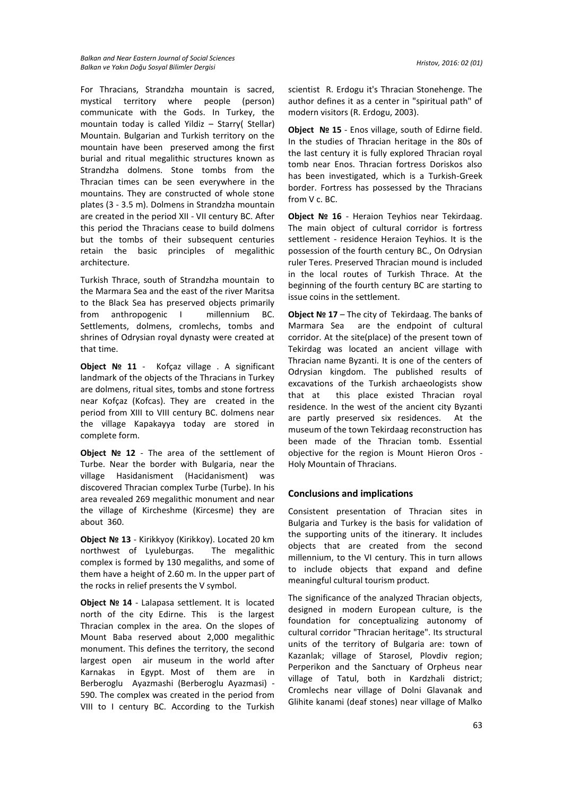*Balkan and Near Eastern Journal of Social Sciences Balkan ve Yakın Doğu Sosyal Bilimler Dergisi Hristov, 2016: 02 (01)*

For Thracians, Strandzha mountain is sacred, mystical territory where people (person) communicate with the Gods. In Turkey, the mountain today is called Yildiz – Starry( Stellar) Mountain. Bulgarian and Turkish territory on the mountain have been preserved among the first burial and ritual megalithic structures known as Strandzha dolmens. Stone tombs from the Thracian times can be seen everywhere in the mountains. They are constructed of whole stone plates (3 - 3.5 m). Dolmens in Strandzha mountain are created in the period XII - VII century BC. After this period the Thracians cease to build dolmens but the tombs of their subsequent centuries retain the basic principles of megalithic architecture.

Turkish Thrace, south of Strandzha mountain to the Marmara Sea and the east of the river Maritsa to the Black Sea has preserved objects primarily from anthropogenic I millennium BC. Settlements, dolmens, cromlechs, tombs and shrines of Odrysian royal dynasty were created at that time.

**Object № 11** - Kofçaz village . A significant landmark of the objects of the Thracians in Turkey are dolmens, ritual sites, tombs and stone fortress near Kofçaz (Kofcas). They are created in the period from XIII to VIII century BC. dolmens near the village Kapakayya today are stored in complete form.

**Object № 12** - The area of the settlement of Turbe. Near the border with Bulgaria, near the village Hasidanisment (Hacidanisment) was discovered Thracian complex Turbe (Turbe). In his area revealed 269 megalithic monument and near the village of Kircheshme (Kircesme) they are about 360.

**Object № 13** - Kirikkyoy (Kirikkoy). Located 20 km northwest of Lyuleburgas. The megalithic complex is formed by 130 megaliths, and some of them have a height of 2.60 m. In the upper part of the rocks in relief presents the V symbol.

**Object № 14** - Lalapasa settlement. It is located north of the city Edirne. This is the largest Thracian complex in the area. On the slopes of Mount Baba reserved about 2,000 megalithic monument. This defines the territory, the second largest open air museum in the world after Karnakas in Egypt. Most of them are in Berberoglu Ayazmashi (Berberoglu Ayazmasi) - 590. The complex was created in the period from VIII to I century BC. According to the Turkish

scientist R. Erdogu it's Thracian Stonehenge. The author defines it as a center in "spiritual path" of modern visitors (R. Erdogu, 2003).

**Object № 15** - Enos village, south of Edirne field. In the studies of Thracian heritage in the 80s of the last century it is fully explored Thracian royal tomb near Enos. Thracian fortress Doriskos also has been investigated, which is a Turkish-Greek border. Fortress has possessed by the Thracians from V c. BC.

**Object № 16** - Heraion Teyhios near Tekirdaag. The main object of cultural corridor is fortress settlement - residence Heraion Teyhios. It is the possession of the fourth century BC., On Odrysian ruler Teres. Preserved Thracian mound is included in the local routes of Turkish Thrace. At the beginning of the fourth century BC are starting to issue coins in the settlement.

**Object № 17** – The city of Tekirdaag. The banks of Marmara Sea are the endpoint of cultural corridor. At the site(place) of the present town of Tekirdag was located an ancient village with Thracian name Byzanti. It is one of the centers of Odrysian kingdom. The published results of excavations of the Turkish archaeologists show that at this place existed Thracian royal residence. In the west of the ancient city Byzanti are partly preserved six residences. At the museum of the town Tekirdaag reconstruction has been made of the Thracian tomb. Essential objective for the region is Mount Hieron Oros - Holy Mountain of Thracians.

### **Conclusions and implications**

Consistent presentation of Thracian sites in Bulgaria and Turkey is the basis for validation of the supporting units of the itinerary. It includes objects that are created from the second millennium, to the VI century. This in turn allows to include objects that expand and define meaningful cultural tourism product.

The significance of the analyzed Thracian objects, designed in modern European culture, is the foundation for conceptualizing autonomy of cultural corridor "Thracian heritage". Its structural units of the territory of Bulgaria are: town of Kazanlak; village of Starosel, Plovdiv region; Perperikon and the Sanctuary of Orpheus near village of Tatul, both in Kardzhali district; Cromlechs near village of Dolni Glavanak and Glihite kanami (deaf stones) near village of Malko